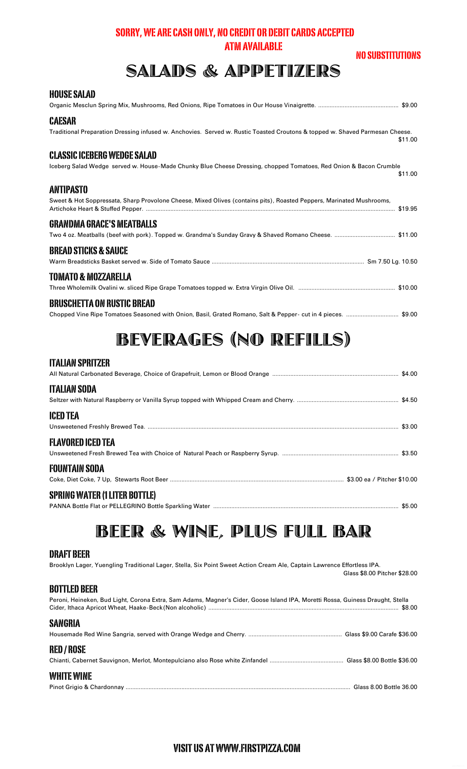#### SORRY, WE ARE CASH ONLY, NO CREDIT OR DEBIT CARDS ACCEPTED **ATM AVAILABLE**

#### **NO SUBSTITUTIONS**

## **SALADS & APPETIZERS**

| HVVVL VALAV                                                                                                                                                        |
|--------------------------------------------------------------------------------------------------------------------------------------------------------------------|
| <b>CAESAR</b><br>Traditional Preparation Dressing infused w. Anchovies. Served w. Rustic Toasted Croutons & topped w. Shaved Parmesan Cheese.<br>\$11.00           |
| <b>CLASSIC ICEBERG WEDGE SALAD</b><br>Iceberg Salad Wedge served w. House-Made Chunky Blue Cheese Dressing, chopped Tomatoes, Red Onion & Bacon Crumble<br>\$11.00 |
| <b>ANTIPASTO</b><br>Sweet & Hot Soppressata, Sharp Provolone Cheese, Mixed Olives (contains pits), Roasted Peppers, Marinated Mushrooms,                           |
| <b>GRANDMA GRACE'S MEATBALLS</b>                                                                                                                                   |
| <b>BREAD STICKS &amp; SAUCE</b>                                                                                                                                    |
| TOMATO & MOZZARELLA                                                                                                                                                |
| <b>BRUSCHETTA ON RUSTIC BREAD</b>                                                                                                                                  |
|                                                                                                                                                                    |

## **BEVERAGES (NO REFILLS)**

#### **ITALIAN SPRITZER**

HAHCE CALAD

| <b>ITALIAN SODA</b>                  |  |
|--------------------------------------|--|
| <b>ICED TEA</b>                      |  |
| FLAVORED ICED TEA                    |  |
| <b>FOUNTAIN SODA</b>                 |  |
| <b>SPRING WATER (1 LITER BOTTLE)</b> |  |

## BEER & WINE, PLUS FULL BAR

#### **DRAFT BEER**

Brooklyn Lager, Yuengling Traditional Lager, Stella, Six Point Sweet Action Cream Ale, Captain Lawrence Effortless IPA. Glass \$8.00 Pitcher \$28.00

#### **BOTTLED BEER**

| Peroni, Heineken, Bud Light, Corona Extra, Sam Adams, Magner's Cider, Goose Island IPA, Moretti Rossa, Guiness Draught, Stella |  |
|--------------------------------------------------------------------------------------------------------------------------------|--|
| <b>SANGRIA</b>                                                                                                                 |  |
| <b>RED/ROSE</b>                                                                                                                |  |
| WHITE WINE                                                                                                                     |  |

#### VISIT US AT WWW.FIRSTPIZZA.COM